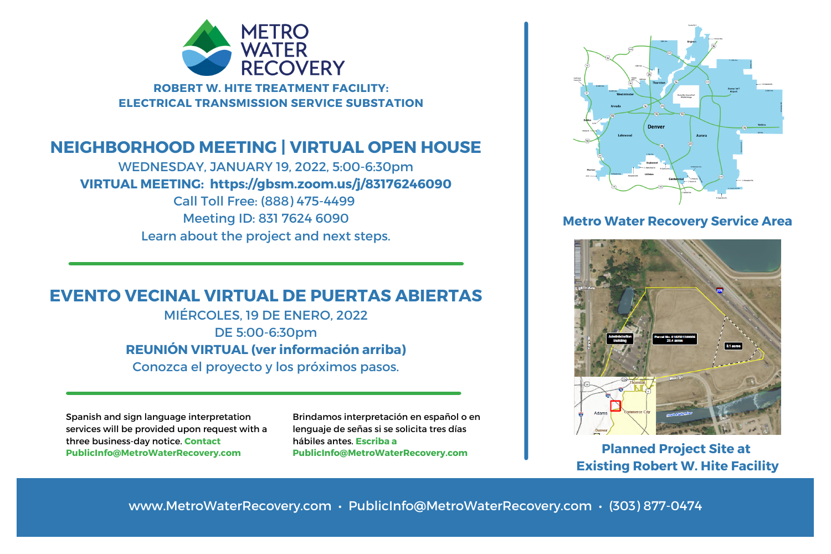

**ROBERT W. HITE TREATMENT FACILITY: ELECTRICAL TRANSMISSION SERVICE SUBSTATION**

## **NEIGHBORHOOD MEETING | VIRTUAL OPEN HOUSE**

WEDNESDAY, JANUARY 19, 2022, 5:00-6:30pm **VIRTUAL MEETING: https://gbsm.zoom.us/j/83176246090** Call Toll Free: (888) 475-4499 Meeting ID: 831 7624 6090 Learn about the project and next steps.

## **EVENTO VECINAL VIRTUAL DE PUERTAS ABIERTAS**

MIÉRCOLES, 19 DE ENERO, 2022 DE 5:00-6:30pm **REUNIÓN VIRTUAL (ver información arriba)** Conozca el proyecto y los próximos pasos.

Spanish and sign language interpretation services will be provided upon request with a three business-day notice. **Contact PublicInfo@MetroWaterRecovery.com**

Brindamos interpretación en español o en lenguaje de señas si se solicita tres días hábiles antes. **Escriba a PublicInfo@MetroWaterRecovery.com Planned Project Site at**



#### **Metro Water Recovery Service Area**



**Existing Robert W. Hite Facility**